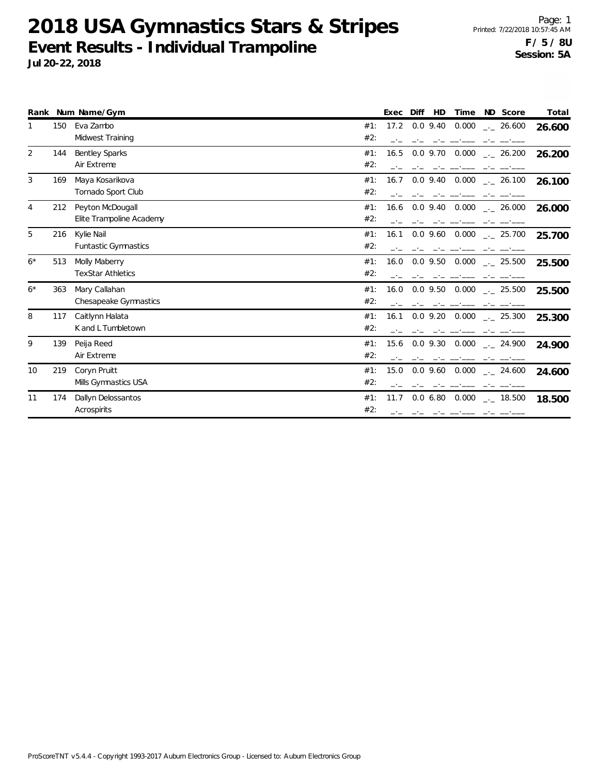|      |     | Rank Num Name/Gym                            |            | Exec | Diff | HD          | Time               | ND Score             | Total  |
|------|-----|----------------------------------------------|------------|------|------|-------------|--------------------|----------------------|--------|
|      | 150 | Eva Zambo<br>Midwest Training                | #1:<br>#2: | 17.2 |      | $0.0$ 9.40  | 0.000              | $-26.600$            | 26.600 |
| 2    | 144 | <b>Bentley Sparks</b><br>Air Extreme         | #1:<br>#2: | 16.5 |      |             | 0.0 9.70 0.000     | $-26.200$            | 26.200 |
| 3    | 169 | Maya Kosarikova<br>Tornado Sport Club        | #1:<br>#2: | 16.7 |      | $0.0\,9.40$ | 0.000              | $-26.100$            | 26.100 |
| 4    | 212 | Peyton McDougall<br>Elite Trampoline Academy | #1:<br>#2: | 16.6 |      | $0.0$ 9.40  | 0.000              | $\frac{1}{2}$ 26.000 | 26.000 |
| 5    | 216 | Kylie Nail<br><b>Funtastic Gymnastics</b>    | #1:<br>#2: | 16.1 |      | $0.0\,9.60$ | 0.000              | $\frac{1}{2}$ 25.700 | 25.700 |
| $6*$ | 513 | Molly Maberry<br><b>TexStar Athletics</b>    | #1:<br>#2: | 16.0 |      |             | $0.0$ 9.50 $0.000$ | $\sim$ 25.500        | 25.500 |
| $6*$ | 363 | Mary Callahan<br>Chesapeake Gymnastics       | #1:<br>#2: | 16.0 |      | $0.0$ 9.50  | 0.000              | $\frac{1}{2}$ 25.500 | 25.500 |
| 8    | 117 | Caitlynn Halata<br>K and L Tumbletown        | #1:<br>#2: | 16.1 |      | $0.0$ 9.20  | 0.000              | $\frac{1}{2}$ 25.300 | 25.300 |
| 9    | 139 | Peija Reed<br>Air Extreme                    | #1:<br>#2: | 15.6 |      | $0.0$ 9.30  | 0.000              | $-24.900$            | 24.900 |
| 10   | 219 | Coryn Pruitt<br>Mills Gymnastics USA         | #1:<br>#2: | 15.0 |      | $0.0$ 9.60  | 0.000              | 24.600               | 24.600 |
| 11   | 174 | Dallyn Delossantos<br>Acrospirits            | #1:<br>#2: | 11.7 |      | 0.06.80     | 0.000              | $\frac{1}{2}$ 18.500 | 18.500 |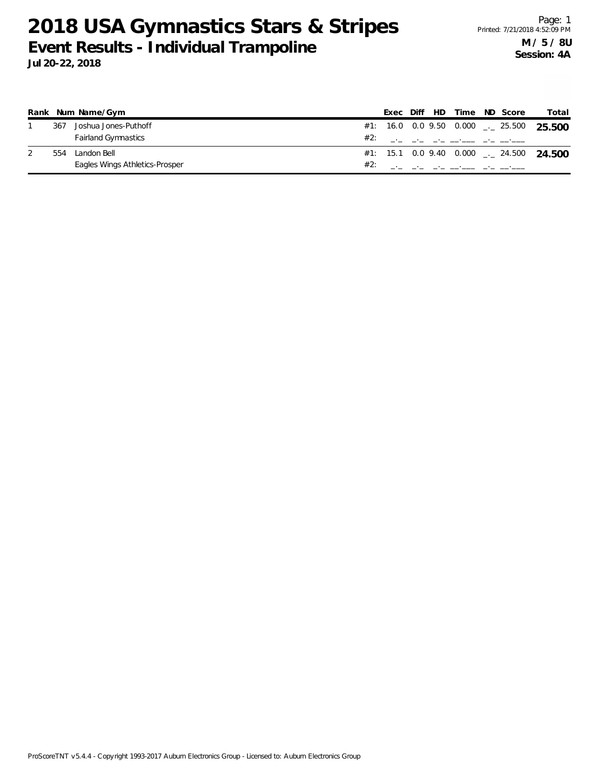|     | Rank Num Name/Gym              |     | Exec Diff HD |  | Time                                                        | ND Score                                           | Total                                               |
|-----|--------------------------------|-----|--------------|--|-------------------------------------------------------------|----------------------------------------------------|-----------------------------------------------------|
| 367 | Joshua Jones-Puthoff           |     |              |  |                                                             |                                                    | #1: 16.0 0.0 9.50 0.000 $\frac{1}{2}$ 25.500 25.500 |
|     | <b>Fairland Gymnastics</b>     | #2: |              |  |                                                             | والمستحقق التحوي المستحقق التحوي والتحاول والحراري |                                                     |
| 554 | Landon Bell                    |     |              |  |                                                             |                                                    | #1: 15.1 0.0 9.40 0.000 $\frac{1}{2}$ 24.500 24.500 |
|     | Eagles Wings Athletics-Prosper |     |              |  | والمستنقل المستنقلة والمستنقل والمستنقل والمستنقل والمستنقل |                                                    |                                                     |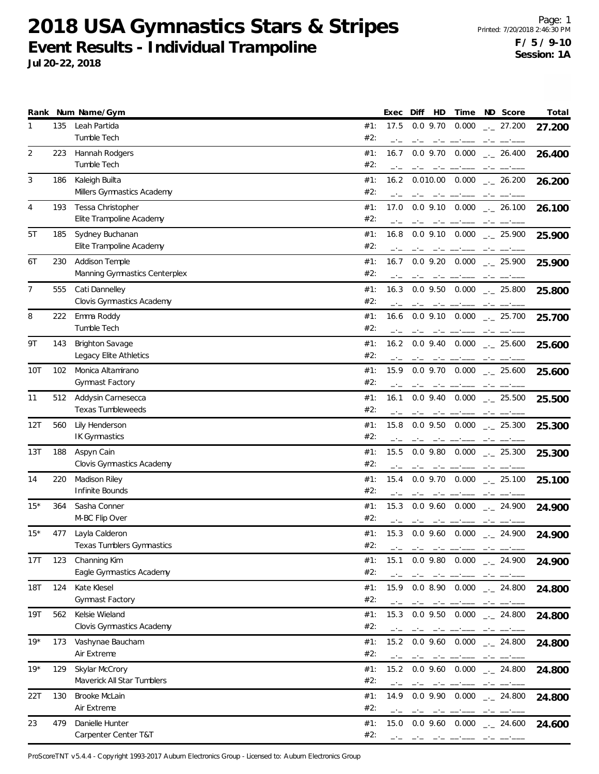**Jul 20-22, 2018**

|       |     | Rank Num Name/Gym                                |            | Exec         | Diff<br>HD                                                                                                                                                                                                                                                                                                                                                                                                                                                                 | Time                                                                                                                                                                                                                                                                                                                                                                                                                                                                       | ND Score                                                                                                                                                                                                                                                                                                                                                                                                                                  | Total  |
|-------|-----|--------------------------------------------------|------------|--------------|----------------------------------------------------------------------------------------------------------------------------------------------------------------------------------------------------------------------------------------------------------------------------------------------------------------------------------------------------------------------------------------------------------------------------------------------------------------------------|----------------------------------------------------------------------------------------------------------------------------------------------------------------------------------------------------------------------------------------------------------------------------------------------------------------------------------------------------------------------------------------------------------------------------------------------------------------------------|-------------------------------------------------------------------------------------------------------------------------------------------------------------------------------------------------------------------------------------------------------------------------------------------------------------------------------------------------------------------------------------------------------------------------------------------|--------|
| 1     | 135 | Leah Partida<br>Tumble Tech                      | #1:<br>#2: | 17.5<br>$-1$ | $0.0$ 9.70<br>$-1$                                                                                                                                                                                                                                                                                                                                                                                                                                                         | 0.000                                                                                                                                                                                                                                                                                                                                                                                                                                                                      | 27.200                                                                                                                                                                                                                                                                                                                                                                                                                                    | 27.200 |
| 2     | 223 | Hannah Rodgers<br>Tumble Tech                    | #1:<br>#2: | 16.7<br>$-1$ | $0.0$ 9.70                                                                                                                                                                                                                                                                                                                                                                                                                                                                 | 0.000<br>$\mathcal{L}^{\mathcal{A}}\mathcal{L}^{\mathcal{A}}\mathcal{L}^{\mathcal{A}}\mathcal{L}^{\mathcal{A}}\mathcal{L}^{\mathcal{A}}\mathcal{L}^{\mathcal{A}}\mathcal{L}^{\mathcal{A}}\mathcal{L}^{\mathcal{A}}\mathcal{L}^{\mathcal{A}}\mathcal{L}^{\mathcal{A}}\mathcal{L}^{\mathcal{A}}\mathcal{L}^{\mathcal{A}}\mathcal{L}^{\mathcal{A}}\mathcal{L}^{\mathcal{A}}\mathcal{L}^{\mathcal{A}}\mathcal{L}^{\mathcal{A}}\mathcal{L}^{\mathcal{A$                         | $-26.400$                                                                                                                                                                                                                                                                                                                                                                                                                                 | 26.400 |
| 3     | 186 | Kaleigh Builta<br>Millers Gymnastics Academy     | #1:<br>#2: | 16.2         |                                                                                                                                                                                                                                                                                                                                                                                                                                                                            | $0.010.00$ $0.000$                                                                                                                                                                                                                                                                                                                                                                                                                                                         | $\frac{1}{2}$ 26.200                                                                                                                                                                                                                                                                                                                                                                                                                      | 26.200 |
| 4     | 193 | Tessa Christopher<br>Elite Trampoline Academy    | #1:<br>#2: | 17.0<br>- -  |                                                                                                                                                                                                                                                                                                                                                                                                                                                                            |                                                                                                                                                                                                                                                                                                                                                                                                                                                                            | $0.0$ 9.10 $0.000$ $_{\leftarrow}$ 26.100                                                                                                                                                                                                                                                                                                                                                                                                 | 26.100 |
| 5T    | 185 | Sydney Buchanan<br>Elite Trampoline Academy      | #1:<br>#2: | 16.8         | $0.0$ 9.10                                                                                                                                                                                                                                                                                                                                                                                                                                                                 | 0.000                                                                                                                                                                                                                                                                                                                                                                                                                                                                      | $-25.900$<br>$-1$                                                                                                                                                                                                                                                                                                                                                                                                                         | 25.900 |
| 6T    | 230 | Addison Temple<br>Manning Gymnastics Centerplex  | #1:<br>#2: | 16.7         |                                                                                                                                                                                                                                                                                                                                                                                                                                                                            |                                                                                                                                                                                                                                                                                                                                                                                                                                                                            | $0.0$ 9.20 $0.000$ $_{\leftarrow}$ 25.900                                                                                                                                                                                                                                                                                                                                                                                                 | 25.900 |
| 7     | 555 | Cati Dannelley<br>Clovis Gymnastics Academy      | #1:<br>#2: | 16.3         |                                                                                                                                                                                                                                                                                                                                                                                                                                                                            |                                                                                                                                                                                                                                                                                                                                                                                                                                                                            | $0.0$ 9.50 $0.000$ $_{\dots}$ 25.800                                                                                                                                                                                                                                                                                                                                                                                                      | 25.800 |
| 8     | 222 | Emma Roddy<br>Tumble Tech                        | #1:<br>#2: | 16.6         |                                                                                                                                                                                                                                                                                                                                                                                                                                                                            | المستناد المستندر المسادسة                                                                                                                                                                                                                                                                                                                                                                                                                                                 | $0.0$ 9.10 $0.000$ $_{\leftarrow}$ 25.700<br>$\frac{1}{2} \frac{1}{2} \frac{1}{2} \frac{1}{2} \frac{1}{2} \frac{1}{2} \frac{1}{2} \frac{1}{2} \frac{1}{2} \frac{1}{2} \frac{1}{2} \frac{1}{2} \frac{1}{2} \frac{1}{2} \frac{1}{2} \frac{1}{2} \frac{1}{2} \frac{1}{2} \frac{1}{2} \frac{1}{2} \frac{1}{2} \frac{1}{2} \frac{1}{2} \frac{1}{2} \frac{1}{2} \frac{1}{2} \frac{1}{2} \frac{1}{2} \frac{1}{2} \frac{1}{2} \frac{1}{2} \frac{$ | 25.700 |
| 9Τ    | 143 | <b>Brighton Savage</b><br>Legacy Elite Athletics | #1:<br>#2: | 16.2         |                                                                                                                                                                                                                                                                                                                                                                                                                                                                            | $\frac{1}{2} \frac{1}{2} \left( \frac{1}{2} \right) \frac{1}{2} \left( \frac{1}{2} \right) \frac{1}{2} \left( \frac{1}{2} \right) \frac{1}{2} \left( \frac{1}{2} \right) \frac{1}{2} \left( \frac{1}{2} \right) \frac{1}{2} \left( \frac{1}{2} \right) \frac{1}{2} \left( \frac{1}{2} \right) \frac{1}{2} \left( \frac{1}{2} \right) \frac{1}{2} \left( \frac{1}{2} \right) \frac{1}{2} \left( \frac{1}{2} \right) \frac{1}{2} \left( \frac{$                              | $0.0$ 9.40 $0.000$ $_{\leftarrow}$ 25.600                                                                                                                                                                                                                                                                                                                                                                                                 | 25.600 |
| 10T   | 102 | Monica Altamirano<br><b>Gymnast Factory</b>      | #1:<br>#2: | 15.9         |                                                                                                                                                                                                                                                                                                                                                                                                                                                                            | $0.0$ 9.70 $0.000$                                                                                                                                                                                                                                                                                                                                                                                                                                                         | $-25.600$                                                                                                                                                                                                                                                                                                                                                                                                                                 | 25.600 |
| 11    | 512 | Addysin Carnesecca<br><b>Texas Tumbleweeds</b>   | #1:<br>#2: | 16.1         | $0.0$ 9.40                                                                                                                                                                                                                                                                                                                                                                                                                                                                 |                                                                                                                                                                                                                                                                                                                                                                                                                                                                            | $0.000$ _._ 25.500                                                                                                                                                                                                                                                                                                                                                                                                                        | 25.500 |
| 12T   | 560 | Lily Henderson<br>IK Gymnastics                  | #1:<br>#2: | 15.8<br>$-1$ | $\frac{1}{2} \left( \frac{1}{2} \right) \left( \frac{1}{2} \right) \left( \frac{1}{2} \right) \left( \frac{1}{2} \right) \left( \frac{1}{2} \right) \left( \frac{1}{2} \right) \left( \frac{1}{2} \right) \left( \frac{1}{2} \right) \left( \frac{1}{2} \right) \left( \frac{1}{2} \right) \left( \frac{1}{2} \right) \left( \frac{1}{2} \right) \left( \frac{1}{2} \right) \left( \frac{1}{2} \right) \left( \frac{1}{2} \right) \left( \frac{1}{2} \right) \left( \frac$ |                                                                                                                                                                                                                                                                                                                                                                                                                                                                            | $0.0$ 9.50 $0.000$ $_{\leftarrow}$ 25.300                                                                                                                                                                                                                                                                                                                                                                                                 | 25.300 |
| 13T   | 188 | Aspyn Cain<br>Clovis Gymnastics Academy          | #1:<br>#2: | 15.5         | $0.0$ 9.80                                                                                                                                                                                                                                                                                                                                                                                                                                                                 | 0.000                                                                                                                                                                                                                                                                                                                                                                                                                                                                      | $\frac{1}{2}$ 25.300                                                                                                                                                                                                                                                                                                                                                                                                                      | 25.300 |
| 14    | 220 | Madison Riley<br>Infinite Bounds                 | #1:<br>#2: | 15.4         | $0.0$ 9.70                                                                                                                                                                                                                                                                                                                                                                                                                                                                 | 0.000                                                                                                                                                                                                                                                                                                                                                                                                                                                                      | $\frac{1}{2}$ 25.100                                                                                                                                                                                                                                                                                                                                                                                                                      | 25.100 |
| $15*$ | 364 | Sasha Conner<br>M-BC Flip Over                   | #1:<br>#2: | 15.3<br>$-1$ |                                                                                                                                                                                                                                                                                                                                                                                                                                                                            | $\frac{1}{2} \left( \frac{1}{2} \right) \left( \frac{1}{2} \right) \left( \frac{1}{2} \right) \left( \frac{1}{2} \right) \left( \frac{1}{2} \right) \left( \frac{1}{2} \right) \left( \frac{1}{2} \right) \left( \frac{1}{2} \right) \left( \frac{1}{2} \right) \left( \frac{1}{2} \right) \left( \frac{1}{2} \right) \left( \frac{1}{2} \right) \left( \frac{1}{2} \right) \left( \frac{1}{2} \right) \left( \frac{1}{2} \right) \left( \frac{1}{2} \right) \left( \frac$ | $0.0$ 9.60 $0.000$ $_{\leftarrow}$ 24.900                                                                                                                                                                                                                                                                                                                                                                                                 | 24.900 |
| $15*$ | 477 | Layla Calderon<br>Texas Tumblers Gymnastics      | #1:<br>#2: |              |                                                                                                                                                                                                                                                                                                                                                                                                                                                                            |                                                                                                                                                                                                                                                                                                                                                                                                                                                                            | 15.3 0.0 9.60 0.000 $_{\leftarrow}$ 24.900                                                                                                                                                                                                                                                                                                                                                                                                | 24.900 |
| 17T   | 123 | Channing Kim<br>Eagle Gymnastics Academy         | #1:<br>#2: | 15.1<br>$-1$ | $0.0$ 9.80                                                                                                                                                                                                                                                                                                                                                                                                                                                                 | $-1 - 2 - 1$                                                                                                                                                                                                                                                                                                                                                                                                                                                               | $0.000$ $_{\leftarrow}$ 24.900                                                                                                                                                                                                                                                                                                                                                                                                            | 24.900 |
| 18T   | 124 | Kate Klesel<br><b>Gymnast Factory</b>            | #1:<br>#2: | 15.9         |                                                                                                                                                                                                                                                                                                                                                                                                                                                                            | $0.0$ 8.90 $0.000$                                                                                                                                                                                                                                                                                                                                                                                                                                                         | $\frac{1}{2}$ 24.800                                                                                                                                                                                                                                                                                                                                                                                                                      | 24.800 |
| 19T   | 562 | Kelsie Wieland<br>Clovis Gymnastics Academy      | #1:<br>#2: | 15.3<br>$-1$ | $0.0$ 9.50<br>$-1$                                                                                                                                                                                                                                                                                                                                                                                                                                                         | المنافسين المستنقذ فتنصب المنافسين                                                                                                                                                                                                                                                                                                                                                                                                                                         | $0.000$ $_{--}$ 24.800                                                                                                                                                                                                                                                                                                                                                                                                                    | 24.800 |
| $19*$ | 173 | Vashynae Baucham<br>Air Extreme                  | #1:<br>#2: | 15.2         |                                                                                                                                                                                                                                                                                                                                                                                                                                                                            | مستحدث المستحدث                                                                                                                                                                                                                                                                                                                                                                                                                                                            | $0.0$ 9.60 $0.000$ $_{\leftarrow}$ 24.800                                                                                                                                                                                                                                                                                                                                                                                                 | 24.800 |
| $19*$ | 129 | Skylar McCrory<br>Maverick All Star Tumblers     | #1:<br>#2: | 15.2         |                                                                                                                                                                                                                                                                                                                                                                                                                                                                            |                                                                                                                                                                                                                                                                                                                                                                                                                                                                            | $0.0$ 9.60 $0.000$ $_{\leftarrow}$ 24.800                                                                                                                                                                                                                                                                                                                                                                                                 | 24.800 |
| 22T   | 130 | Brooke McLain<br>Air Extreme                     | #1:<br>#2: | 14.9<br>$-1$ | $0.0$ 9.90                                                                                                                                                                                                                                                                                                                                                                                                                                                                 | 0.000                                                                                                                                                                                                                                                                                                                                                                                                                                                                      | $\frac{1}{2}$ 24.800                                                                                                                                                                                                                                                                                                                                                                                                                      | 24.800 |
| 23    | 479 | Danielle Hunter<br>Carpenter Center T&T          | #1:<br>#2: | 15.0         | المستحصل مناصبات المحامل المناصب                                                                                                                                                                                                                                                                                                                                                                                                                                           |                                                                                                                                                                                                                                                                                                                                                                                                                                                                            | $0.0$ 9.60 $0.000$ $_{\leftarrow}$ 24.600                                                                                                                                                                                                                                                                                                                                                                                                 | 24.600 |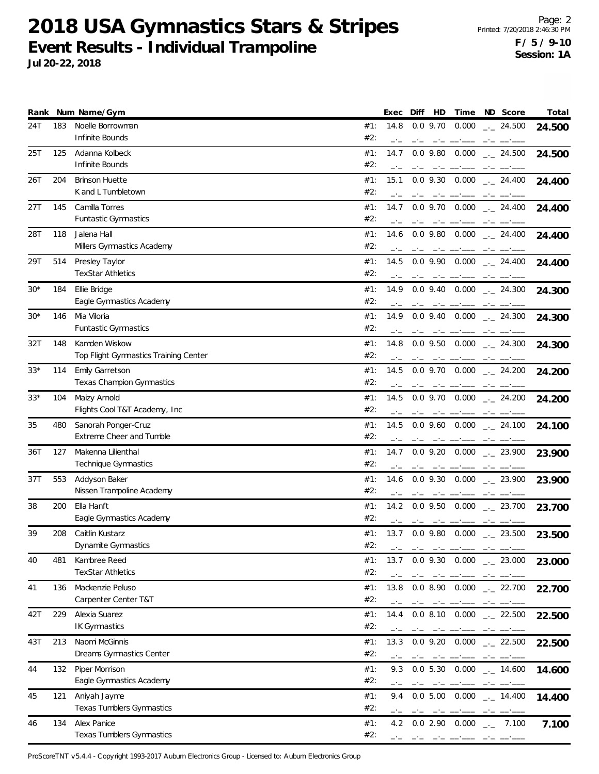**Jul 20-22, 2018**

| Rank  |     | Num Name/Gym                              |            | Exec         | Diff   | HD                       | Time               | ND Score                                  | Total  |
|-------|-----|-------------------------------------------|------------|--------------|--------|--------------------------|--------------------|-------------------------------------------|--------|
| 24T   | 183 | Noelle Borrowman<br>Infinite Bounds       | #1:<br>#2: | 14.8         |        | $0.0$ 9.70               | 0.000              | $\frac{1}{2}$ 24.500                      | 24.500 |
| 25T   | 125 | Adanna Kolbeck                            | #1:        | $-1$<br>14.7 |        | $0.0$ $9.80$             | 0.000              | $-24.500$                                 |        |
|       |     | Infinite Bounds                           | #2:        |              |        |                          |                    | $-1$                                      | 24.500 |
| 26T   | 204 | <b>Brinson Huette</b>                     | #1:        | 15.1         |        | $-1$                     | $0.0$ 9.30 $0.000$ | $-24.400$                                 |        |
|       |     | K and L Tumbletown                        | #2:        |              |        |                          |                    |                                           | 24.400 |
| 27T   | 145 | Camilla Torres                            | #1:        | 14.7         |        | $-1$                     | $0.0$ 9.70 $0.000$ |                                           |        |
|       |     | <b>Funtastic Gymnastics</b>               | #2:        |              |        |                          |                    | $-24.400$                                 | 24.400 |
|       |     |                                           |            |              |        |                          |                    |                                           |        |
| 28T   | 118 | Jalena Hall<br>Millers Gymnastics Academy | #1:<br>#2: | 14.6         |        | $0.0$ 9.80               | 0.000              | $-24.400$                                 | 24.400 |
|       |     |                                           |            |              |        | $-1$                     |                    |                                           |        |
| 29T   | 514 | Presley Taylor                            | #1:        | 14.5         |        | $0.0$ 9.90               | 0.000              | $\frac{1}{2}$ 24.400                      | 24.400 |
|       |     | <b>TexStar Athletics</b>                  | #2:        |              |        |                          |                    |                                           |        |
| $30*$ | 184 | Ellie Bridge                              | #1:        | 14.9         |        |                          | $0.0$ 9.40 $0.000$ | $\frac{1}{2}$ 24.300                      | 24.300 |
|       |     | Eagle Gymnastics Academy                  | #2:        |              |        |                          |                    |                                           |        |
| $30*$ | 146 | Mia Viloria                               | #1:        | 14.9         |        | $0.0$ 9.40               | 0.000              | $\sim$ 24.300                             | 24.300 |
|       |     | Funtastic Gymnastics                      | #2:        |              |        | $-1$                     |                    |                                           |        |
| 32T   | 148 | Kamden Wiskow                             | #1:        | 14.8         |        | $0.0$ 9.50               | 0.000              | $-24.300$                                 | 24.300 |
|       |     | Top Flight Gymnastics Training Center     | #2:        |              | $-1$   |                          | ________           | $-1 - 1 - 1 - 1$                          |        |
| $33*$ | 114 | Emily Garretson                           | #1:        | 14.5         |        | $0.0$ 9.70               | 0.000              | $-24.200$                                 | 24.200 |
|       |     | Texas Champion Gymnastics                 | #2:        |              |        |                          |                    |                                           |        |
| $33*$ | 104 | Maizy Arnold                              | #1:        | 14.5         |        | $0.0$ 9.70               | 0.000              | $\frac{1}{2}$ 24.200                      | 24.200 |
|       |     | Flights Cool T&T Academy, Inc             | #2:        |              |        |                          |                    |                                           |        |
| 35    | 480 | Sanorah Ponger-Cruz                       | #1:        | 14.5         |        |                          |                    | $0.0$ 9.60 $0.000$ $_{\leftarrow}$ 24.100 | 24.100 |
|       |     | Extreme Cheer and Tumble                  | #2:        |              |        |                          |                    |                                           |        |
| 36T   | 127 | Makenna Lilienthal                        | #1:        | 14.7         |        | $0.0$ 9.20               | 0.000              | $-23.900$                                 | 23.900 |
|       |     | Technique Gymnastics                      | #2:        |              |        | $-1$                     |                    | $-1$                                      |        |
| 37T   | 553 | Addyson Baker                             | #1:        | 14.6         |        | $0.0$ 9.30               | 0.000              | $\frac{1}{2}$ 23.900                      | 23.900 |
|       |     | Nissen Trampoline Academy                 | #2:        |              |        |                          |                    |                                           |        |
| 38    | 200 | Ella Hanft                                | #1:        | 14.2         |        |                          | $0.0$ 9.50 $0.000$ | $\frac{1}{2}$ 23.700                      | 23.700 |
|       |     | Eagle Gymnastics Academy                  | #2:        |              |        | فالمسترد فتناهب المتناوب |                    |                                           |        |
| 39    | 208 | Caitlin Kustarz                           | #1:        | 13.7         |        |                          |                    | $0.0$ 9.80 $0.000$ $_{\leftarrow}$ 23.500 |        |
|       |     | Dynamite Gymnastics                       | #2:        | $\sim$       | $\sim$ |                          |                    |                                           | 23.500 |
|       |     |                                           |            |              |        |                          |                    | $0.000$ $_{\leftarrow}$ 23.000            |        |
| 40    | 481 | Kambree Reed<br><b>TexStar Athletics</b>  | #1:<br>#2: | 13.7         |        | $0.0$ 9.30               |                    |                                           | 23.000 |
|       |     |                                           |            |              | $-1$   |                          |                    | $-1$                                      |        |
| 41    | 136 | Mackenzie Peluso                          | #1:<br>#2: | 13.8         |        | 0.08.90                  | 0.000              | $\frac{1}{2}$ 22.700                      | 22.700 |
|       |     | Carpenter Center T&T                      |            |              |        |                          |                    |                                           |        |
| 42T   | 229 | Alexia Suarez                             | #1:        | 14.4         |        | 0.08.10                  | 0.000              | $\frac{1}{2}$ 22.500                      | 22.500 |
|       |     | <b>IK Gymnastics</b>                      | #2:        |              | $-1$   |                          |                    | مساحيتها الماحية المستنبه فتنبه الماحية   |        |
| 43T   | 213 | Naomi McGinnis                            | #1:        | 13.3         |        |                          |                    | $0.0$ 9.20 $0.000$ $_{\sim}$ 22.500       | 22.500 |
|       |     | Dreams Gymnastics Center                  | #2:        |              |        |                          |                    |                                           |        |
| 44    | 132 | Piper Morrison                            | #1:        | 9.3          |        | 0.05.30                  | 0.000              | $\frac{1}{2}$ 14.600                      | 14.600 |
|       |     | Eagle Gymnastics Academy                  | #2:        |              |        | $-1$                     |                    | $-1$                                      |        |
| 45    | 121 | Aniyah Jayme                              | #1:        | 9.4          |        | 0.05.00                  | 0.000              | $\sim$ 14.400                             | 14.400 |
|       |     | Texas Tumblers Gymnastics                 | #2:        |              |        | $-1$                     |                    |                                           |        |
| 46    | 134 | Alex Panice                               | #1:        | 4.2          |        | 0.02.90                  | 0.000              | 7.100<br>$-1$                             | 7.100  |
|       |     | Texas Tumblers Gymnastics                 | #2:        |              |        |                          |                    |                                           |        |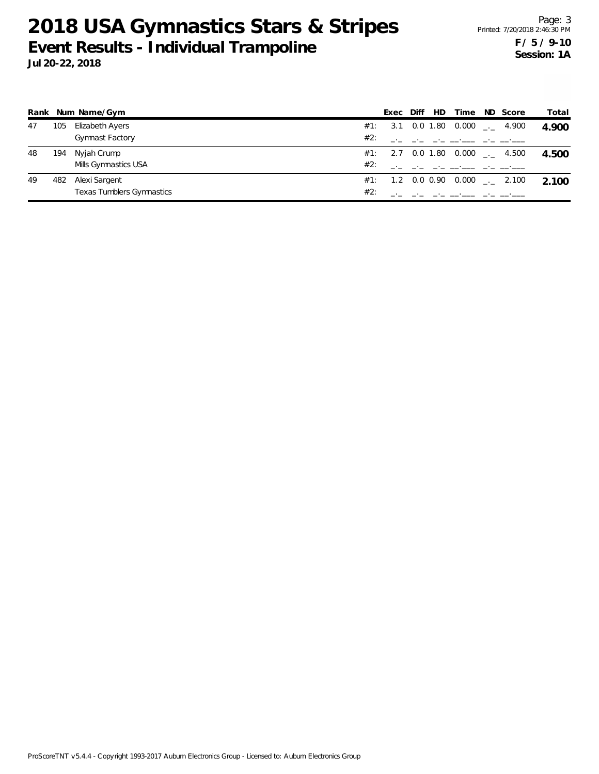|    |     | Rank Num Name/Gym                |     | Exec | Diff | HD. | Time                                                                                                                  | ND Score                                       | Total |
|----|-----|----------------------------------|-----|------|------|-----|-----------------------------------------------------------------------------------------------------------------------|------------------------------------------------|-------|
| 47 | 105 | Elizabeth Ayers                  | #1: |      |      |     |                                                                                                                       | 3.1 0.0 1.80 0.000 $\qquad$ 4.900              | 4.900 |
|    |     | <b>Gymnast Factory</b>           | #2: |      |      |     |                                                                                                                       |                                                |       |
| 48 | 194 | Nyjah Crump                      |     |      |      |     |                                                                                                                       | $\#1$ : 2.7 0.0 1.80 0.000 $\_\cdot$ 4.500     | 4.500 |
|    |     | Mills Gymnastics USA             | #2: |      |      |     | <u>المنافسين المنافس المستوفي المراجع المنافس المنافس المنافس المنافس المنافس المنافس المنافس المنافس المنافس الم</u> |                                                |       |
| 49 | 482 | Alexi Sargent                    |     |      |      |     |                                                                                                                       | $\#1$ : 1.2 0.0 0.90 0.000 $\frac{1}{2}$ 2.100 | 2.100 |
|    |     | <b>Texas Tumblers Gymnastics</b> | #2: |      |      |     |                                                                                                                       |                                                |       |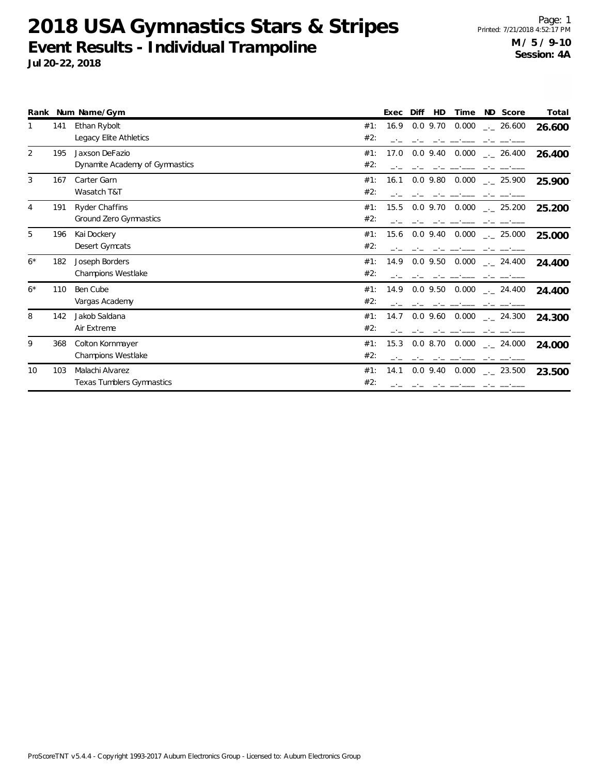|                |     | Rank Num Name/Gym              |     | Exec | Diff        | <b>HD</b> | Time  | ND Score             | Total  |
|----------------|-----|--------------------------------|-----|------|-------------|-----------|-------|----------------------|--------|
|                | 141 | Ethan Rybolt                   | #1: | 16.9 | $0.0$ 9.70  |           | 0.000 | $-26.600$            | 26.600 |
|                |     | Legacy Elite Athletics         | #2: |      |             |           |       |                      |        |
| $\overline{2}$ | 195 | Jaxson DeFazio                 | #1: | 17.0 | $0.0$ 9.40  |           | 0.000 | $-26.400$            | 26.400 |
|                |     | Dynamite Academy of Gymnastics | #2: |      |             |           |       |                      |        |
| 3              | 167 | Carter Garn                    | #1: | 16.1 | $0.0$ 9.80  |           | 0.000 | $-25.900$            | 25.900 |
|                |     | Wasatch T&T                    | #2: |      |             |           |       |                      |        |
| 4              | 191 | <b>Ryder Chaffins</b>          | #1: | 15.5 | $0.0$ 9.70  |           | 0.000 | $\frac{1}{2}$ 25.200 | 25.200 |
|                |     | Ground Zero Gymnastics         | #2: |      |             |           |       |                      |        |
| 5              | 196 | Kai Dockery                    | #1: | 15.6 | $0.0\,9.40$ |           | 0.000 | $\frac{1}{2}$ 25.000 | 25.000 |
|                |     | Desert Gymcats                 | #2: |      |             |           |       |                      |        |
| $6*$           | 182 | Joseph Borders                 | #1: | 14.9 | $0.0$ 9.50  |           | 0.000 | $-24.400$            | 24.400 |
|                |     | <b>Champions Westlake</b>      | #2: |      |             |           |       |                      |        |
| $6*$           | 110 | Ben Cube                       | #1: | 14.9 | $0.0$ 9.50  |           | 0.000 | $\frac{1}{2}$ 24.400 | 24.400 |
|                |     | Vargas Academy                 | #2: |      |             |           |       |                      |        |
| 8              | 142 | Jakob Saldana                  | #1: | 14.7 | $0.0$ 9.60  |           | 0.000 | $-24.300$            | 24.300 |
|                |     | Air Extreme                    | #2: |      |             |           |       |                      |        |
| 9              | 368 | Colton Kornmayer               | #1: | 15.3 | 0.08.70     |           | 0.000 | $\frac{1}{2}$ 24.000 | 24.000 |
|                |     | <b>Champions Westlake</b>      | #2: |      |             |           |       |                      |        |
| 10             | 103 | Malachi Alvarez                | #1: | 14.1 | $0.0$ 9.40  |           | 0.000 | $\frac{1}{2}$ 23.500 | 23.500 |
|                |     | Texas Tumblers Gymnastics      | #2: |      |             |           |       |                      |        |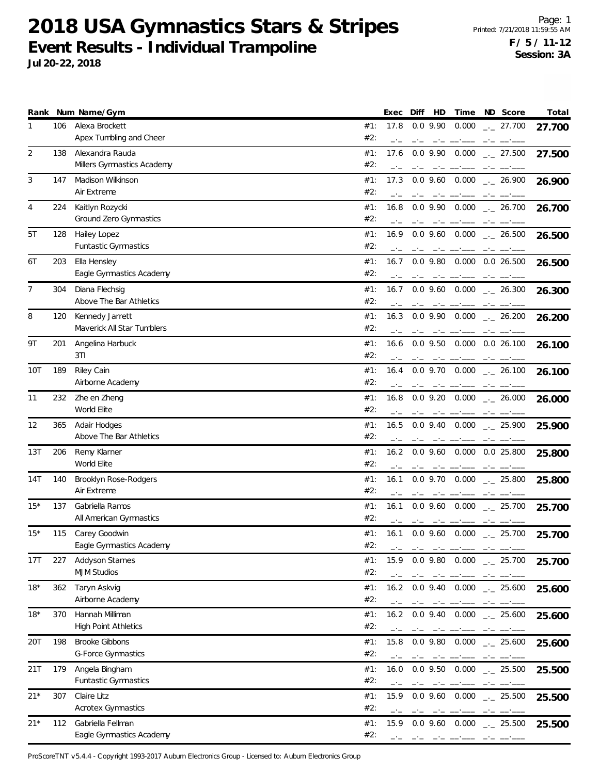**Jul 20-22, 2018**

|                |     | Rank Num Name/Gym                                  | ND Score<br>Total<br>HD<br>Diff<br>Time<br>Exec                                                                                                                                                                                                                                                                     |
|----------------|-----|----------------------------------------------------|---------------------------------------------------------------------------------------------------------------------------------------------------------------------------------------------------------------------------------------------------------------------------------------------------------------------|
| 1              | 106 | Alexa Brockett<br>Apex Tumbling and Cheer          | 17.8<br>$0.0$ 9.90<br>0.000<br>#1:<br>$\frac{1}{2}$ 27.700<br>27.700<br>#2:                                                                                                                                                                                                                                         |
| $\overline{2}$ | 138 | Alexandra Rauda<br>Millers Gymnastics Academy      | 17.6<br>$0.0$ 9.90<br>0.000<br>#1:<br>$-27.500$<br>27.500<br>#2:<br>$-1$                                                                                                                                                                                                                                            |
| 3              | 147 | Madison Wilkinson<br>Air Extreme                   | #1:<br>17.3<br>$0.0$ 9.60<br>0.000<br>$\frac{1}{2}$ 26.900<br>26.900<br>#2:<br>$-1$<br>سيست السبب السائسان                                                                                                                                                                                                          |
| 4              | 224 | Kaitlyn Rozycki<br>Ground Zero Gymnastics          | #1:<br>$0.0$ 9.90 $0.000$<br>16.8<br>$\frac{1}{2}$ 26.700<br>26.700<br>#2:                                                                                                                                                                                                                                          |
| 5T             | 128 | Hailey Lopez<br>Funtastic Gymnastics               | 0.000<br>#1:<br>16.9<br>$0.0$ 9.60<br>$\frac{1}{2}$ 26.500<br>26.500<br>#2:                                                                                                                                                                                                                                         |
| 6T             | 203 | Ella Hensley<br>Eagle Gymnastics Academy           | $0.0$ 9.80<br>0.000 0.0 26.500<br>#1:<br>16.7<br>26.500<br>#2:                                                                                                                                                                                                                                                      |
| 7              | 304 | Diana Flechsig<br>Above The Bar Athletics          | 0.000<br>#1:<br>16.7<br>$0.0$ 9.60<br>$-26.300$<br>26.300<br>#2:                                                                                                                                                                                                                                                    |
| 8              | 120 | Kennedy Jarrett<br>Maverick All Star Tumblers      | 0.000<br>#1:<br>16.3<br>$0.0$ 9.90<br>$\frac{1}{2}$ 26.200<br>26.200<br>#2:                                                                                                                                                                                                                                         |
| 9T             | 201 | Angelina Harbuck<br>3T1                            | 0.0 9.50 0.000 0.0 26.100<br>#1:<br>16.6<br>26.100<br>#2:                                                                                                                                                                                                                                                           |
| 10T            | 189 | Riley Cain<br>Airborne Academy                     | #1:<br>16.4<br>$0.0$ 9.70<br>0.000<br>$\frac{1}{2}$ 26.100<br>26.100<br>#2:<br>$-1$                                                                                                                                                                                                                                 |
| 11             | 232 | Zhe en Zheng<br>World Elite                        | $0.0$ 9.20<br>0.000<br>#1:<br>16.8<br>$-26.000$<br>26.000<br>#2:<br>$-1$<br>$-1$                                                                                                                                                                                                                                    |
| 12             | 365 | Adair Hodges<br>Above The Bar Athletics            | #1:<br>16.5<br>$0.0$ 9.40 $0.000$<br>$\frac{1}{2}$ 25.900<br>25.900<br>#2:                                                                                                                                                                                                                                          |
| 13T            | 206 | Remy Klarner<br>World Elite                        | #1:<br>16.2<br>0.0 9.60 0.000 0.0 25.800<br>25.800<br>#2:                                                                                                                                                                                                                                                           |
| 14T            | 140 | Brooklyn Rose-Rodgers<br>Air Extreme               | 0.000<br>#1:<br>16.1<br>$0.0$ 9.70<br>$\frac{1}{2}$ 25.800<br>25.800<br>#2:<br>$-1$<br>$-1$<br>$-1$<br>$-1$                                                                                                                                                                                                         |
| $15*$          | 137 | Gabriella Ramos<br>All American Gymnastics         | $0.0$ 9.60 $0.000$<br>#1:<br>16.1<br>$\frac{1}{2}$ 25.700<br>25.700<br>#2:<br>سأنسب السائب السائب                                                                                                                                                                                                                   |
| $15*$          | 115 | Carey Goodwin<br>Eagle Gymnastics Academy          | 16.1<br>$0.0$ 9.60 $0.000$ $_{\leftarrow}$ 25.700<br>#1:<br>25.700<br>#2:<br>$-1$<br>and the company of the contract of the contract of the contract of the contract of the contract of the contract of the contract of the contract of the contract of the contract of the contract of the contract of the contrac |
| 17T            | 227 | Addyson Starnes<br><b>MJM Studios</b>              | $0.0$ 9.80 $0.000$ $_{--}$ 25.700<br>#1:<br>15.9<br>25.700<br>#2:<br>$-1$                                                                                                                                                                                                                                           |
| $18*$          | 362 | Taryn Askvig<br>Airborne Academy                   | #1:<br>$0.0$ 9.40<br>0.000<br>16.2<br>$\frac{1}{2}$ 25.600<br>25.600<br>#2:<br>$-1$                                                                                                                                                                                                                                 |
| $18*$          | 370 | Hannah Milliman<br><b>High Point Athletics</b>     | 0.000<br>#1:<br>16.2<br>$0.0$ 9.40<br>$-25.600$<br>25.600<br>#2:<br>$-1$                                                                                                                                                                                                                                            |
| 20T            | 198 | <b>Brooke Gibbons</b><br><b>G-Force Gymnastics</b> | #1:<br>15.8<br>$0.0$ 9.80 $0.000$<br>$\frac{1}{2}$ 25.600<br>25.600<br>#2:<br>والمستور المترامين                                                                                                                                                                                                                    |
| 21T            | 179 | Angela Bingham<br>Funtastic Gymnastics             | #1:<br>$0.0$ 9.50 $0.000$ $\_{2}$ 25.500<br>16.0<br>25.500<br>#2:                                                                                                                                                                                                                                                   |
| $21*$          | 307 | Claire Litz<br><b>Acrotex Gymnastics</b>           | #1:<br>15.9<br>$0.0$ 9.60<br>0.000<br>$\frac{1}{2}$ 25.500<br>25.500<br>#2:<br>$-1$<br>$-1$<br>$-1$                                                                                                                                                                                                                 |
| $21*$          | 112 | Gabriella Fellman<br>Eagle Gymnastics Academy      | #1:<br>15.9<br>$0.0$ 9.60 $0.000$ $_{\leftarrow}$ 25.500<br>25.500<br>#2:                                                                                                                                                                                                                                           |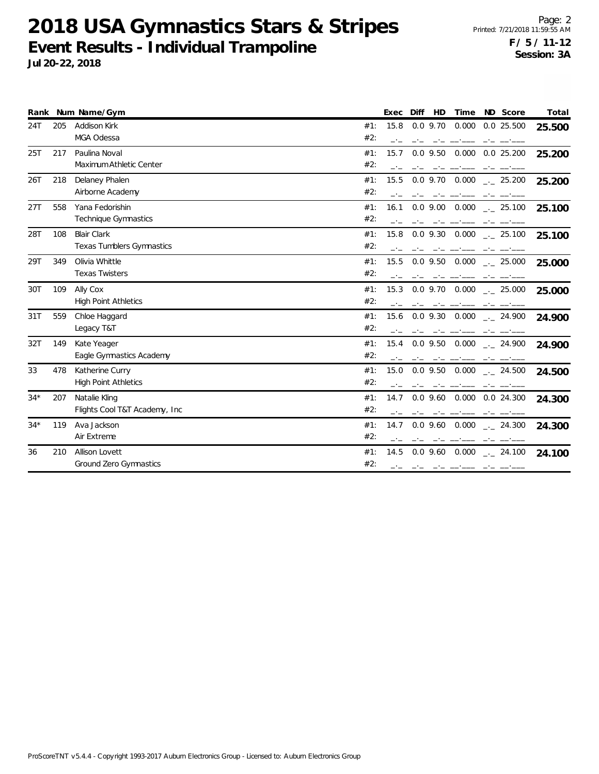| Rank  |     | Num Name/Gym                     |     | Exec | Diff<br>HD         | Time  | ND<br>Score                                   | Total  |
|-------|-----|----------------------------------|-----|------|--------------------|-------|-----------------------------------------------|--------|
| 24T   | 205 | Addison Kirk                     | #1: | 15.8 | $0.0$ 9.70         | 0.000 | $0.0$ 25.500                                  | 25.500 |
|       |     | MGA Odessa                       | #2: |      |                    |       |                                               |        |
| 25T   | 217 | Paulina Noval                    | #1: | 15.7 | $0.0$ 9.50         |       | 0.000 0.0 25.200                              | 25.200 |
|       |     | Maximum Athletic Center          | #2: |      |                    |       |                                               |        |
| 26T   | 218 | Delaney Phalen                   | #1: | 15.5 |                    |       | $0.0$ 9.70 $0.000$ $_{\leftarrow}$ 25.200     | 25.200 |
|       |     | Airborne Academy                 | #2: |      |                    |       |                                               |        |
| 27T   | 558 | Yana Fedorishin                  | #1: | 16.1 | $0.0$ 9.00         | 0.000 | $\frac{1}{2}$ 25.100                          | 25.100 |
|       |     | Technique Gymnastics             | #2: |      |                    |       |                                               |        |
| 28T   | 108 | <b>Blair Clark</b>               | #1: | 15.8 | $0.0$ 9.30         | 0.000 | $\sim$ 25.100                                 | 25.100 |
|       |     | <b>Texas Tumblers Gymnastics</b> | #2: |      |                    |       |                                               |        |
| 29T   | 349 | Olivia Whittle                   | #1: | 15.5 | $0.0$ 9.50 $0.000$ |       | $\frac{1}{2}$ 25.000                          | 25.000 |
|       |     | <b>Texas Twisters</b>            | #2: |      |                    |       |                                               |        |
| 30T   | 109 | Ally Cox                         | #1: | 15.3 | $0.0$ 9.70         | 0.000 | $-25.000$                                     | 25.000 |
|       |     | <b>High Point Athletics</b>      | #2: |      |                    |       |                                               |        |
| 31T   | 559 | Chloe Haggard                    | #1: | 15.6 |                    |       | $0.0$ 9.30 $0.000$ $_{\leftarrow}$ 24.900     | 24.900 |
|       |     | Legacy T&T                       | #2: |      |                    |       |                                               |        |
| 32T   | 149 | Kate Yeager                      | #1: | 15.4 | $0.0$ 9.50 $0.000$ |       | $-24.900$                                     | 24.900 |
|       |     | Eagle Gymnastics Academy         | #2: |      |                    |       |                                               |        |
| 33    | 478 | Katherine Curry                  | #1: | 15.0 | $0.0$ 9.50 $0.000$ |       | $\sim$ 24.500                                 | 24.500 |
|       |     | <b>High Point Athletics</b>      | #2: |      |                    |       |                                               |        |
| $34*$ | 207 | Natalie Kling                    | #1: | 14.7 | $0.0$ 9.60         |       | 0.000 0.0 24.300                              | 24.300 |
|       |     | Flights Cool T&T Academy, Inc.   | #2: |      |                    |       |                                               |        |
| $34*$ | 119 | Ava Jackson                      | #1: | 14.7 | $0.0$ 9.60 $0.000$ |       | $\frac{1}{2}$ 24.300                          | 24.300 |
|       |     | Air Extreme                      | #2: |      |                    |       |                                               |        |
| 36    | 210 | Allison Lovett                   | #1: | 14.5 |                    |       | $0.0$ 9.60 $0.000$ $_{\leftarrow}$ 24.100     | 24.100 |
|       |     | <b>Ground Zero Gymnastics</b>    | #2: |      |                    |       | سياسيا سابي المستعملين بالاستراد الماضي المار |        |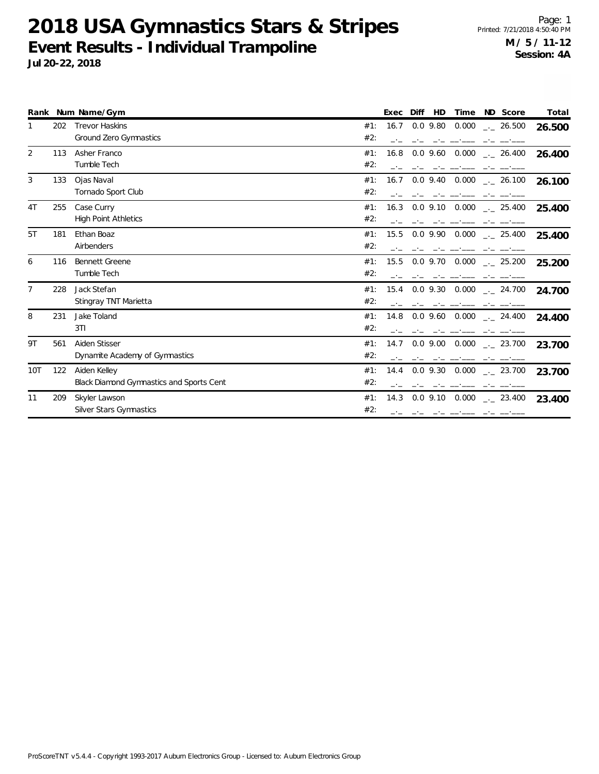|                |     | Rank Num Name/Gym                        |     | Exec | Diff | <b>HD</b>   | Time               | ND Score                                  | Total  |
|----------------|-----|------------------------------------------|-----|------|------|-------------|--------------------|-------------------------------------------|--------|
| $\mathbf{1}$   | 202 | <b>Trevor Haskins</b>                    | #1: | 16.7 |      | $0.0$ 9.80  | 0.000              | $-26.500$                                 | 26.500 |
|                |     | Ground Zero Gymnastics                   | #2: |      |      |             |                    |                                           |        |
| 2              | 113 | Asher Franco                             | #1: | 16.8 |      |             | $0.0$ 9.60 $0.000$ | $-26.400$                                 | 26.400 |
|                |     | Tumble Tech                              | #2: |      |      |             |                    |                                           |        |
| 3              | 133 | Ojas Naval                               | #1: | 16.7 |      |             | $0.0$ 9.40 $0.000$ | $-26.100$                                 | 26.100 |
|                |     | Tornado Sport Club                       | #2: |      |      |             |                    |                                           |        |
| 4T             | 255 | Case Curry                               | #1: | 16.3 |      |             | $0.0$ 9.10 $0.000$ | $\frac{1}{2}$ 25.400                      | 25.400 |
|                |     | <b>High Point Athletics</b>              | #2: |      |      |             |                    |                                           |        |
| 5T             | 181 | Ethan Boaz                               | #1: | 15.5 |      | $0.0\,9.90$ | 0.000              | $\frac{1}{2}$ 25.400                      | 25.400 |
|                |     | Airbenders                               | #2: |      |      |             |                    |                                           |        |
| 6              | 116 | <b>Bennett Greene</b>                    | #1: | 15.5 |      |             | $0.0$ 9.70 $0.000$ | $-25.200$                                 | 25.200 |
|                |     | Tumble Tech                              | #2: |      |      |             |                    |                                           |        |
| $\overline{7}$ | 228 | Jack Stefan                              | #1: | 15.4 |      |             | $0.0$ 9.30 $0.000$ | 24.700                                    | 24.700 |
|                |     | Stingray TNT Marietta                    | #2: |      |      |             |                    |                                           |        |
| 8              | 231 | Jake Toland                              | #1: | 14.8 |      |             | $0.0$ 9.60 $0.000$ | $\frac{1}{2}$ 24.400                      | 24.400 |
|                |     | 3T1                                      | #2: |      |      |             |                    |                                           |        |
| 9T             | 561 | Aiden Stisser                            | #1: | 14.7 |      |             |                    | $0.0$ 9.00 0.000 $_{\leftarrow}$ 23.700   | 23.700 |
|                |     | Dynamite Academy of Gymnastics           | #2: |      |      |             |                    |                                           |        |
| 10T            | 122 | Aiden Kelley                             | #1: | 14.4 |      |             |                    | $0.0$ 9.30 $0.000$ $_{\leftarrow}$ 23.700 | 23.700 |
|                |     | Black Diamond Gymnastics and Sports Cent | #2: |      |      |             |                    |                                           |        |
| 11             | 209 | Skyler Lawson                            | #1: | 14.3 |      | $0.0$ 9.10  | 0.000              | $\frac{1}{2}$ 23.400                      | 23.400 |
|                |     | <b>Silver Stars Gymnastics</b>           | #2: |      |      |             |                    |                                           |        |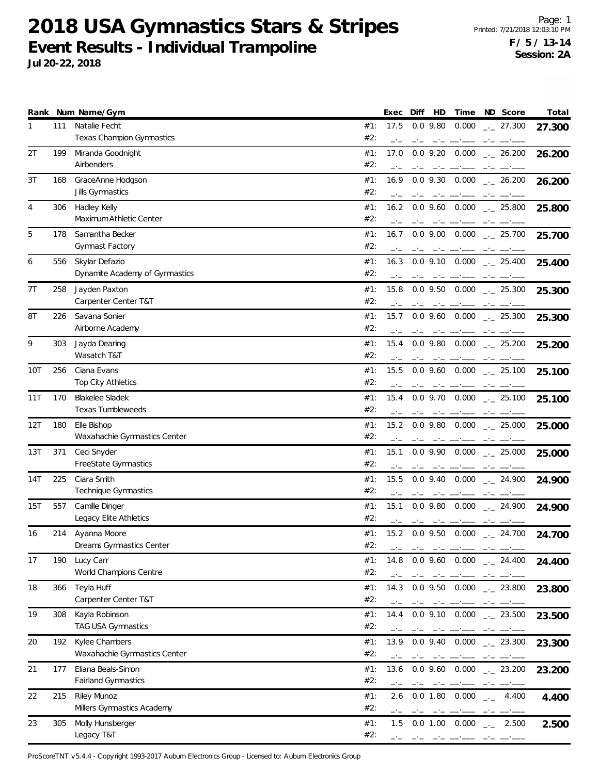**Jul 20-22, 2018**

|     |     | Rank Num Name/Gym                                  |            | Exec         | Diff           | HD                                | Time                                                                                                                                                                                                                                                                |                 | ND Score             | Total  |
|-----|-----|----------------------------------------------------|------------|--------------|----------------|-----------------------------------|---------------------------------------------------------------------------------------------------------------------------------------------------------------------------------------------------------------------------------------------------------------------|-----------------|----------------------|--------|
| 1   | 111 | Natalie Fecht<br><b>Texas Champion Gymnastics</b>  | #1:<br>#2: | 17.5<br>$-1$ | $-1$           | $0.0$ 9.80                        | 0.000<br>مستحسب المستحدث                                                                                                                                                                                                                                            | $-1$            | . 27.300             | 27.300 |
| 2T  | 199 | Miranda Goodnight<br>Airbenders                    | #1:<br>#2: | 17.0<br>-1-  |                | $0.0$ 9.20<br>$-1$                | 0.000                                                                                                                                                                                                                                                               |                 | $-26.200$            | 26.200 |
| 3T  | 168 | GraceAnne Hodgson<br>Jills Gymnastics              | #1:<br>#2: | 16.9         |                | $0.0$ 9.30                        | 0.000                                                                                                                                                                                                                                                               |                 | $-26.200$            | 26.200 |
| 4   | 306 | Hadley Kelly<br>Maximum Athletic Center            | #1:<br>#2: | 16.2<br>$-1$ |                |                                   | $0.0$ 9.60 $0.000$ $_{\leftarrow}$ 25.800                                                                                                                                                                                                                           |                 |                      | 25.800 |
| 5   | 178 | Samantha Becker<br>Gymnast Factory                 | #1:<br>#2: | 16.7         |                | $0.0$ 9.00<br>and the company's   |                                                                                                                                                                                                                                                                     | $-1$            | $0.000$ _ 25.700     | 25.700 |
| 6   | 556 | Skylar Defazio<br>Dynamite Academy of Gymnastics   | #1:<br>#2: | 16.3         |                |                                   | $0.0$ 9.10 $0.000$ $_{\leftarrow}$ 25.400                                                                                                                                                                                                                           |                 |                      | 25.400 |
| 7T  | 258 | Jayden Paxton<br>Carpenter Center T&T              | #1:<br>#2: | 15.8         |                |                                   | $0.0$ 9.50 $0.000$ $_{\leftarrow}$ 25.300                                                                                                                                                                                                                           |                 |                      | 25.300 |
| 8T  | 226 | Savana Sonier<br>Airborne Academy                  | #1:<br>#2: | 15.7         |                | والمستنبذ المساحس                 | $0.0$ 9.60 $0.000$ $_{\leftarrow}$ 25.300                                                                                                                                                                                                                           | $-1$            |                      | 25.300 |
| 9   | 303 | Jayda Dearing<br>Wasatch T&T                       | #1:<br>#2: | 15.4         |                | $-1$                              | $0.0$ 9.80 $0.000$ $_{\leftarrow}$ 25.200                                                                                                                                                                                                                           |                 |                      | 25.200 |
| 10T | 256 | Ciana Evans<br>Top City Athletics                  | #1:<br>#2: | 15.5         |                |                                   | $0.0$ 9.60 0.000                                                                                                                                                                                                                                                    |                 | $\sim$ 25.100        | 25.100 |
| 11T | 170 | <b>Blakelee Sladek</b><br><b>Texas Tumbleweeds</b> | #1:<br>#2: | 15.4         |                | $0.0$ 9.70                        | $0.000$ _ 25.100                                                                                                                                                                                                                                                    |                 |                      | 25.100 |
| 12T | 180 | Elle Bishop<br>Waxahachie Gymnastics Center        | #1:<br>#2: | 15.2         |                | and the contract contract and the | $0.0$ 9.80 $0.000$ $_{\leftarrow}$ 25.000                                                                                                                                                                                                                           |                 |                      | 25.000 |
| 13T | 371 | Ceci Snyder<br>FreeState Gymnastics                | #1:<br>#2: | 15.1         |                | $0.0$ 9.90                        | $0.000$ _ $-25.000$                                                                                                                                                                                                                                                 |                 |                      | 25.000 |
| 14T | 225 | Ciara Smith<br><b>Technique Gymnastics</b>         | #1:<br>#2: | 15.5         |                | $0.0$ 9.40                        | 0.000                                                                                                                                                                                                                                                               |                 | $-24.900$            | 24.900 |
| 15T | 557 | Camille Dinger<br>Legacy Elite Athletics           | #1:<br>#2: | 15.1         |                |                                   | $0.0$ 9.80 $0.000$ $_{-1}$ 24.900<br>and the contract of the contract of the contract of the contract of the contract of the contract of the contract of the contract of the contract of the contract of the contract of the contract of the contract of the contra |                 |                      | 24.900 |
| 16  | 214 | Ayanna Moore<br>Dreams Gymnastics Center           | #1:<br>#2: |              |                |                                   | 15.2 0.0 9.50 0.000 $_{\leftarrow}$ 24.700                                                                                                                                                                                                                          |                 |                      | 24.700 |
| 17  | 190 | Lucy Carr<br>World Champions Centre                | #1:<br>#2: | 14.8<br>$-1$ |                | and the company of the            | $0.0$ 9.60 $0.000$ $_{\leftarrow}$ 24.400                                                                                                                                                                                                                           |                 |                      | 24.400 |
| 18  | 366 | Teyla Huff<br>Carpenter Center T&T                 | #1:<br>#2: | 14.3         |                |                                   | $0.0$ 9.50 $0.000$                                                                                                                                                                                                                                                  |                 | $\frac{1}{2}$ 23.800 | 23.800 |
| 19  | 308 | Kayla Robinson<br>TAG USA Gymnastics               | #1:<br>#2: | 14.4<br>$-1$ | $-\,^{\circ}-$ | $0.0$ 9.10                        | $0.000$ __ 23.500<br>والمناجين والمستنبذ فتنبيه والمناجين                                                                                                                                                                                                           |                 |                      | 23.500 |
| 20  | 192 | Kylee Chambers<br>Waxahachie Gymnastics Center     | #1:<br>#2: | 13.9<br>$-1$ |                | وسيرا المستورد والمسترات والمستور | $0.0$ 9.40 $0.000$ $_{\leftarrow}$ 23.300                                                                                                                                                                                                                           |                 |                      | 23.300 |
| 21  | 177 | Eliana Beals-Simon<br><b>Fairland Gymnastics</b>   | #1:<br>#2: | 13.6         |                |                                   | $0.0$ 9.60 $0.000$ $_{\leftarrow}$ 23.200                                                                                                                                                                                                                           |                 |                      | 23.200 |
| 22  | 215 | Riley Munoz<br>Millers Gymnastics Academy          | #1:<br>#2: | 2.6          |                | 0.0 1.80                          | 0.000                                                                                                                                                                                                                                                               |                 | -4.400               | 4.400  |
| 23  | 305 | Molly Hunsberger<br>Legacy T&T                     | #1:<br>#2: | 1.5          |                |                                   | $0.0$ 1.00 0.000<br>فستستخلص المناصب المناصب                                                                                                                                                                                                                        | $\rightarrow -$ | 2.500                | 2.500  |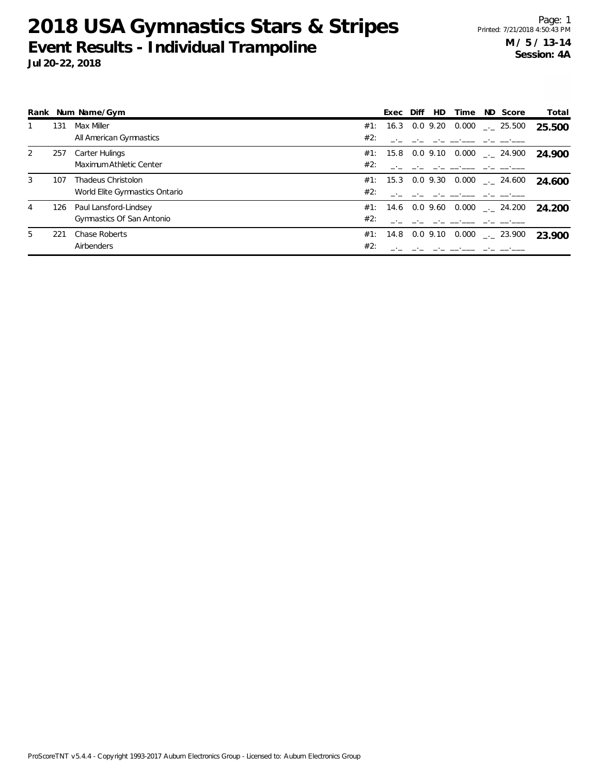|   |     | Rank Num Name/Gym              |     | Exec     | Diff | HD.         | Time  | ND Score                                     | Total  |
|---|-----|--------------------------------|-----|----------|------|-------------|-------|----------------------------------------------|--------|
|   | 131 | Max Miller                     |     | #1: 16.3 |      | 0.0 9.20    |       | $0.000$ $_{\leftarrow}$ 25.500               | 25.500 |
|   |     | All American Gymnastics        | #2: |          |      |             |       |                                              |        |
| 2 | 257 | Carter Hulings                 |     |          |      |             |       | #1: 15.8 0.0 9.10 0.000 $\frac{1}{2}$ 24.900 | 24.900 |
|   |     | Maximum Athletic Center        | #2: |          |      |             |       |                                              |        |
| 3 | 107 | Thadeus Christolon             |     |          |      |             |       | #1: 15.3 0.0 9.30 0.000 $\_\_$ 24.600        | 24.600 |
|   |     | World Elite Gymnastics Ontario | #2: |          |      |             |       |                                              |        |
| 4 | 126 | Paul Lansford-Lindsey          |     |          |      |             |       | #1: 14.6 0.0 9.60 0.000 $\frac{1}{2}$ 24.200 | 24.200 |
|   |     | Gymnastics Of San Antonio      | #2: |          |      |             |       |                                              |        |
| 5 | 221 | Chase Roberts                  |     | #1: 14.8 |      | $0.0\,9.10$ | 0.000 | $\sim$ 23.900                                | 23.900 |
|   |     | Airbenders                     | #2: |          |      |             |       |                                              |        |